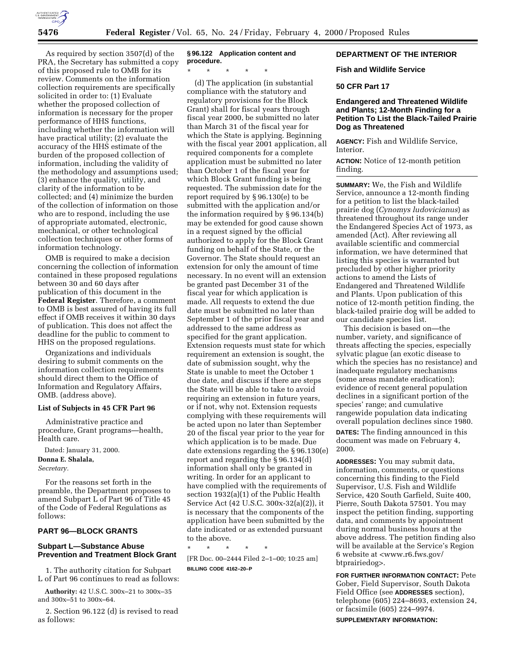

As required by section 3507(d) of the PRA, the Secretary has submitted a copy of this proposed rule to OMB for its review. Comments on the information collection requirements are specifically solicited in order to: (1) Evaluate whether the proposed collection of information is necessary for the proper performance of HHS functions, including whether the information will have practical utility; (2) evaluate the accuracy of the HHS estimate of the burden of the proposed collection of information, including the validity of the methodology and assumptions used; (3) enhance the quality, utility, and clarity of the information to be collected; and (4) minimize the burden of the collection of information on those who are to respond, including the use of appropriate automated, electronic, mechanical, or other technological collection techniques or other forms of information technology.

OMB is required to make a decision concerning the collection of information contained in these proposed regulations between 30 and 60 days after publication of this document in the **Federal Register**. Therefore, a comment to OMB is best assured of having its full effect if OMB receives it within 30 days of publication. This does not affect the deadline for the public to comment to HHS on the proposed regulations.

Organizations and individuals desiring to submit comments on the information collection requirements should direct them to the Office of Information and Regulatory Affairs, OMB. (address above).

#### **List of Subjects in 45 CFR Part 96**

Administrative practice and procedure, Grant programs—health, Health care.

Dated: January 31, 2000. **Donna E. Shalala,** *Secretary.*

For the reasons set forth in the preamble, the Department proposes to amend Subpart L of Part 96 of Title 45 of the Code of Federal Regulations as follows:

### **PART 96—BLOCK GRANTS**

# **Subpart L—Substance Abuse Prevention and Treatment Block Grant**

1. The authority citation for Subpart L of Part 96 continues to read as follows:

**Authority:** 42 U.S.C. 300x–21 to 300x–35 and 300x–51 to 300x–64.

2. Section 96.122 (d) is revised to read as follows:

# **§ 96.122 Application content and procedure.**

\* \* \* \* \*

(d) The application (in substantial compliance with the statutory and regulatory provisions for the Block Grant) shall for fiscal years through fiscal year 2000, be submitted no later than March 31 of the fiscal year for which the State is applying. Beginning with the fiscal year 2001 application, all required components for a complete application must be submitted no later than October 1 of the fiscal year for which Block Grant funding is being requested. The submission date for the report required by § 96.130(e) to be submitted with the application and/or the information required by § 96.134(b) may be extended for good cause shown in a request signed by the official authorized to apply for the Block Grant funding on behalf of the State, or the Governor. The State should request an extension for only the amount of time necessary. In no event will an extension be granted past December 31 of the fiscal year for which application is made. All requests to extend the due date must be submitted no later than September 1 of the prior fiscal year and addressed to the same address as specified for the grant application. Extension requests must state for which requirement an extension is sought, the date of submission sought, why the State is unable to meet the October 1 due date, and discuss if there are steps the State will be able to take to avoid requiring an extension in future years, or if not, why not. Extension requests complying with these requirements will be acted upon no later than September 20 of the fiscal year prior to the year for which application is to be made. Due date extensions regarding the § 96.130(e) report and regarding the § 96.134(d) information shall only be granted in writing. In order for an applicant to have complied with the requirements of section 1932(a)(1) of the Public Health Service Act (42 U.S.C. 300x-32(a)(2)), it is necessary that the components of the application have been submitted by the date indicated or as extended pursuant to the above.

\* \* \* \* \* [FR Doc. 00–2444 Filed 2–1–00; 10:25 am] **BILLING CODE 4162–20–P**

# **DEPARTMENT OF THE INTERIOR**

### **Fish and Wildlife Service**

## **50 CFR Part 17**

## **Endangered and Threatened Wildlife and Plants; 12-Month Finding for a Petition To List the Black-Tailed Prairie Dog as Threatened**

**AGENCY:** Fish and Wildlife Service, Interior.

**ACTION:** Notice of 12-month petition finding.

**SUMMARY:** We, the Fish and Wildlife Service, announce a 12-month finding for a petition to list the black-tailed prairie dog (*Cynomys ludovicianus*) as threatened throughout its range under the Endangered Species Act of 1973, as amended (Act). After reviewing all available scientific and commercial information, we have determined that listing this species is warranted but precluded by other higher priority actions to amend the Lists of Endangered and Threatened Wildlife and Plants. Upon publication of this notice of 12-month petition finding, the black-tailed prairie dog will be added to our candidate species list.

This decision is based on—the number, variety, and significance of threats affecting the species, especially sylvatic plague (an exotic disease to which the species has no resistance) and inadequate regulatory mechanisms (some areas mandate eradication); evidence of recent general population declines in a significant portion of the species' range; and cumulative rangewide population data indicating overall population declines since 1980.

**DATES:** The finding announced in this document was made on February 4, 2000.

**ADDRESSES:** You may submit data, information, comments, or questions concerning this finding to the Field Supervisor, U.S. Fish and Wildlife Service, 420 South Garfield, Suite 400, Pierre, South Dakota 57501. You may inspect the petition finding, supporting data, and comments by appointment during normal business hours at the above address. The petition finding also will be available at the Service's Region 6 website at <www.r6.fws.gov/ btprairiedog>.

**FOR FURTHER INFORMATION CONTACT:** Pete Gober, Field Supervisor, South Dakota Field Office (see **ADDRESSES** section), telephone (605) 224–8693, extension 24, or facsimile (605) 224–9974.

**SUPPLEMENTARY INFORMATION:**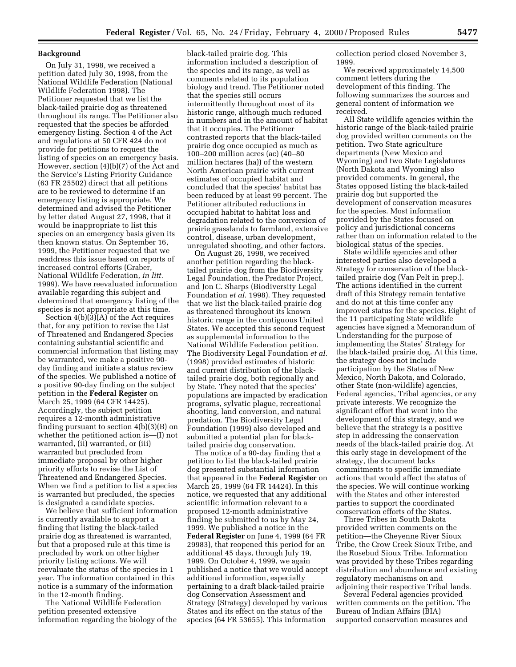### **Background**

On July 31, 1998, we received a petition dated July 30, 1998, from the National Wildlife Federation (National Wildlife Federation 1998). The Petitioner requested that we list the black-tailed prairie dog as threatened throughout its range. The Petitioner also requested that the species be afforded emergency listing. Section 4 of the Act and regulations at 50 CFR 424 do not provide for petitions to request the listing of species on an emergency basis. However, section (4)(b)(7) of the Act and the Service's Listing Priority Guidance (63 FR 25502) direct that all petitions are to be reviewed to determine if an emergency listing is appropriate. We determined and advised the Petitioner by letter dated August 27, 1998, that it would be inappropriate to list this species on an emergency basis given its then known status. On September 16, 1999, the Petitioner requested that we readdress this issue based on reports of increased control efforts (Graber, National Wildlife Federation, *in litt.* 1999). We have reevaluated information available regarding this subject and determined that emergency listing of the species is not appropriate at this time.

Section 4(b)(3)(A) of the Act requires that, for any petition to revise the List of Threatened and Endangered Species containing substantial scientific and commercial information that listing may be warranted, we make a positive 90 day finding and initiate a status review of the species. We published a notice of a positive 90-day finding on the subject petition in the **Federal Register** on March 25, 1999 (64 CFR 14425). Accordingly, the subject petition requires a 12-month administrative finding pursuant to section 4(b)(3)(B) on whether the petitioned action is—(I) not warranted, (ii) warranted, or (iii) warranted but precluded from immediate proposal by other higher priority efforts to revise the List of Threatened and Endangered Species. When we find a petition to list a species is warranted but precluded, the species is designated a candidate species.

We believe that sufficient information is currently available to support a finding that listing the black-tailed prairie dog as threatened is warranted, but that a proposed rule at this time is precluded by work on other higher priority listing actions. We will reevaluate the status of the species in 1 year. The information contained in this notice is a summary of the information in the 12-month finding.

The National Wildlife Federation petition presented extensive information regarding the biology of the

black-tailed prairie dog. This information included a description of the species and its range, as well as comments related to its population biology and trend. The Petitioner noted that the species still occurs intermittently throughout most of its historic range, although much reduced in numbers and in the amount of habitat that it occupies. The Petitioner contrasted reports that the black-tailed prairie dog once occupied as much as 100–200 million acres (ac) (40–80 million hectares (ha)) of the western North American prairie with current estimates of occupied habitat and concluded that the species' habitat has been reduced by at least 99 percent. The Petitioner attributed reductions in occupied habitat to habitat loss and degradation related to the conversion of prairie grasslands to farmland, extensive control, disease, urban development, unregulated shooting, and other factors.

On August 26, 1998, we received another petition regarding the blacktailed prairie dog from the Biodiversity Legal Foundation, the Predator Project, and Jon C. Sharps (Biodiversity Legal Foundation *et al.* 1998). They requested that we list the black-tailed prairie dog as threatened throughout its known historic range in the contiguous United States. We accepted this second request as supplemental information to the National Wildlife Federation petition. The Biodiversity Legal Foundation *et al.* (1998) provided estimates of historic and current distribution of the blacktailed prairie dog, both regionally and by State. They noted that the species' populations are impacted by eradication programs, sylvatic plague, recreational shooting, land conversion, and natural predation. The Biodiversity Legal Foundation (1999) also developed and submitted a potential plan for blacktailed prairie dog conservation.

The notice of a 90-day finding that a petition to list the black-tailed prairie dog presented substantial information that appeared in the **Federal Register** on March 25, 1999 (64 FR 14424). In this notice, we requested that any additional scientific information relevant to a proposed 12-month administrative finding be submitted to us by May 24, 1999. We published a notice in the **Federal Register** on June 4, 1999 (64 FR 29983), that reopened this period for an additional 45 days, through July 19, 1999. On October 4, 1999, we again published a notice that we would accept additional information, especially pertaining to a draft black-tailed prairie dog Conservation Assessment and Strategy (Strategy) developed by various States and its effect on the status of the species (64 FR 53655). This information

collection period closed November 3, 1999.

We received approximately 14,500 comment letters during the development of this finding. The following summarizes the sources and general content of information we received.

All State wildlife agencies within the historic range of the black-tailed prairie dog provided written comments on the petition. Two State agriculture departments (New Mexico and Wyoming) and two State Legislatures (North Dakota and Wyoming) also provided comments. In general, the States opposed listing the black-tailed prairie dog but supported the development of conservation measures for the species. Most information provided by the States focused on policy and jurisdictional concerns rather than on information related to the biological status of the species.

State wildlife agencies and other interested parties also developed a Strategy for conservation of the blacktailed prairie dog (Van Pelt in prep.). The actions identified in the current draft of this Strategy remain tentative and do not at this time confer any improved status for the species. Eight of the 11 participating State wildlife agencies have signed a Memorandum of Understanding for the purpose of implementing the States' Strategy for the black-tailed prairie dog. At this time, the strategy does not include participation by the States of New Mexico, North Dakota, and Colorado, other State (non-wildlife) agencies, Federal agencies, Tribal agencies, or any private interests. We recognize the significant effort that went into the development of this strategy, and we believe that the strategy is a positive step in addressing the conservation needs of the black-tailed prairie dog. At this early stage in development of the strategy, the document lacks commitments to specific immediate actions that would affect the status of the species. We will continue working with the States and other interested parties to support the coordinated conservation efforts of the States.

Three Tribes in South Dakota provided written comments on the petition—the Cheyenne River Sioux Tribe, the Crow Creek Sioux Tribe, and the Rosebud Sioux Tribe. Information was provided by these Tribes regarding distribution and abundance and existing regulatory mechanisms on and adjoining their respective Tribal lands.

Several Federal agencies provided written comments on the petition. The Bureau of Indian Affairs (BIA) supported conservation measures and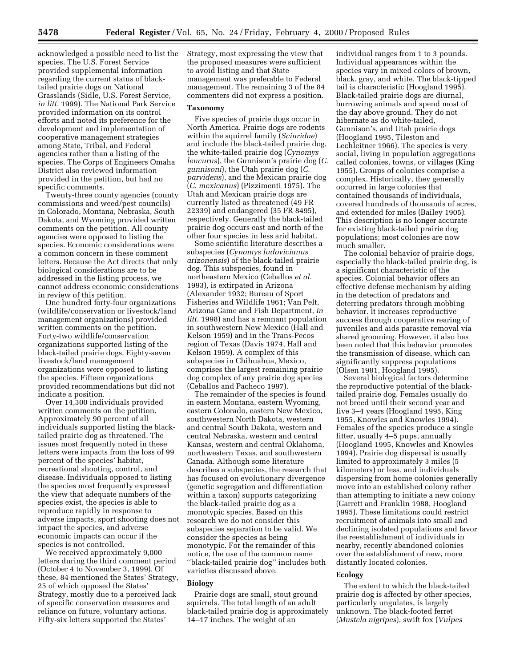acknowledged a possible need to list the species. The U.S. Forest Service provided supplemental information regarding the current status of blacktailed prairie dogs on National Grasslands (Sidle, U.S. Forest Service, *in litt.* 1999). The National Park Service provided information on its control efforts and noted its preference for the development and implementation of cooperative management strategies among State, Tribal, and Federal agencies rather than a listing of the species. The Corps of Engineers Omaha District also reviewed information provided in the petition, but had no specific comments.

Twenty-three county agencies (county commissions and weed/pest councils) in Colorado, Montana, Nebraska, South Dakota, and Wyoming provided written comments on the petition. All county agencies were opposed to listing the species. Economic considerations were a common concern in these comment letters. Because the Act directs that only biological considerations are to be addressed in the listing process, we cannot address economic considerations in review of this petition.

One hundred forty-four organizations (wildlife/conservation or livestock/land management organizations) provided written comments on the petition. Forty-two wildlife/conservation organizations supported listing of the black-tailed prairie dogs. Eighty-seven livestock/land management organizations were opposed to listing the species. Fifteen organizations provided recommendations but did not indicate a position.

Over 14,300 individuals provided written comments on the petition. Approximately 90 percent of all individuals supported listing the blacktailed prairie dog as threatened. The issues most frequently noted in these letters were impacts from the loss of 99 percent of the species' habitat, recreational shooting, control, and disease. Individuals opposed to listing the species most frequently expressed the view that adequate numbers of the species exist, the species is able to reproduce rapidly in response to adverse impacts, sport shooting does not impact the species, and adverse economic impacts can occur if the species is not controlled.

We received approximately 9,000 letters during the third comment period (October 4 to November 3, 1999). Of these, 84 mentioned the States' Strategy, 25 of which opposed the States' Strategy, mostly due to a perceived lack of specific conservation measures and reliance on future, voluntary actions. Fifty-six letters supported the States'

Strategy, most expressing the view that the proposed measures were sufficient to avoid listing and that State management was preferable to Federal management. The remaining 3 of the 84 commenters did not express a position.

#### **Taxonomy**

Five species of prairie dogs occur in North America. Prairie dogs are rodents within the squirrel family (*Sciuridae*) and include the black-tailed prairie dog, the white-tailed prairie dog (*Cynomys leucurus*), the Gunnison's prairie dog (*C. gunnisoni*), the Utah prairie dog (*C. parvidens*), and the Mexican prairie dog (*C. mexicanus*) (Pizzimenti 1975). The Utah and Mexican prairie dogs are currently listed as threatened (49 FR 22339) and endangered (35 FR 8495), respectively. Generally the black-tailed prairie dog occurs east and north of the other four species in less arid habitat.

Some scientific literature describes a subspecies (*Cynomys ludovicianus arizonensis*) of the black-tailed prairie dog. This subspecies, found in northeastern Mexico (Ceballos *et al.* 1993), is extirpated in Arizona (Alexander 1932; Bureau of Sport Fisheries and Wildlife 1961; Van Pelt, Arizona Game and Fish Department, *in litt.* 1998) and has a remnant population in southwestern New Mexico (Hall and Kelson 1959) and in the Trans-Pecos region of Texas (Davis 1974, Hall and Kelson 1959). A complex of this subspecies in Chihuahua, Mexico, comprises the largest remaining prairie dog complex of any prairie dog species (Ceballos and Pacheco 1997).

The remainder of the species is found in eastern Montana, eastern Wyoming, eastern Colorado, eastern New Mexico, southwestern North Dakota, western and central South Dakota, western and central Nebraska, western and central Kansas, western and central Oklahoma, northwestern Texas, and southwestern Canada. Although some literature describes a subspecies, the research that has focused on evolutionary divergence (genetic segregation and differentiation within a taxon) supports categorizing the black-tailed prairie dog as a monotypic species. Based on this research we do not consider this subspecies separation to be valid. We consider the species as being monotypic. For the remainder of this notice, the use of the common name ''black-tailed prairie dog'' includes both varieties discussed above.

### **Biology**

Prairie dogs are small, stout ground squirrels. The total length of an adult black-tailed prairie dog is approximately 14–17 inches. The weight of an

individual ranges from 1 to 3 pounds. Individual appearances within the species vary in mixed colors of brown, black, gray, and white. The black-tipped tail is characteristic (Hoogland 1995). Black-tailed prairie dogs are diurnal, burrowing animals and spend most of the day above ground. They do not hibernate as do white-tailed, Gunnison's, and Utah prairie dogs (Hoogland 1995, Tileston and Lechleitner 1966). The species is very social, living in population aggregations called colonies, towns, or villages (King 1955). Groups of colonies comprise a complex. Historically, they generally occurred in large colonies that contained thousands of individuals, covered hundreds of thousands of acres, and extended for miles (Bailey 1905). This description is no longer accurate for existing black-tailed prairie dog populations; most colonies are now much smaller.

The colonial behavior of prairie dogs, especially the black-tailed prairie dog, is a significant characteristic of the species. Colonial behavior offers an effective defense mechanism by aiding in the detection of predators and deterring predators through mobbing behavior. It increases reproductive success through cooperative rearing of juveniles and aids parasite removal via shared grooming. However, it also has been noted that this behavior promotes the transmission of disease, which can significantly suppress populations (Olsen 1981, Hoogland 1995).

Several biological factors determine the reproductive potential of the blacktailed prairie dog. Females usually do not breed until their second year and live 3–4 years (Hoogland 1995, King 1955, Knowles and Knowles 1994). Females of the species produce a single litter, usually 4–5 pups, annually (Hoogland 1995, Knowles and Knowles 1994). Prairie dog dispersal is usually limited to approximately 3 miles (5 kilometers) or less, and individuals dispersing from home colonies generally move into an established colony rather than attempting to initiate a new colony (Garrett and Franklin 1988, Hoogland 1995). These limitations could restrict recruitment of animals into small and declining isolated populations and favor the reestablishment of individuals in nearby, recently abandoned colonies over the establishment of new, more distantly located colonies.

#### **Ecology**

The extent to which the black-tailed prairie dog is affected by other species, particularly ungulates, is largely unknown. The black-footed ferret (*Mustela nigripes*), swift fox (*Vulpes*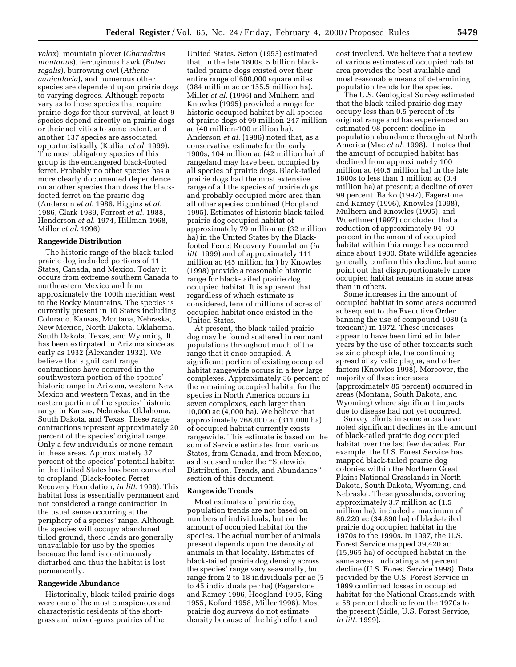*velox*), mountain plover (*Charadrius montanus*), ferruginous hawk (*Buteo regalis*), burrowing owl (*Athene cunicularia*), and numerous other species are dependent upon prairie dogs to varying degrees. Although reports vary as to those species that require prairie dogs for their survival, at least 9 species depend directly on prairie dogs or their activities to some extent, and another 137 species are associated opportunistically (Kotliar *et al.* 1999). The most obligatory species of this group is the endangered black-footed ferret. Probably no other species has a more clearly documented dependence on another species than does the blackfooted ferret on the prairie dog (Anderson *et al.* 1986, Biggins *et al.* 1986, Clark 1989, Forrest *et al.* 1988, Henderson *et al.* 1974, Hillman 1968, Miller *et al.* 1996).

#### **Rangewide Distribution**

The historic range of the black-tailed prairie dog included portions of 11 States, Canada, and Mexico. Today it occurs from extreme southern Canada to northeastern Mexico and from approximately the 100th meridian west to the Rocky Mountains. The species is currently present in 10 States including Colorado, Kansas, Montana, Nebraska, New Mexico, North Dakota, Oklahoma, South Dakota, Texas, and Wyoming. It has been extirpated in Arizona since as early as 1932 (Alexander 1932). We believe that significant range contractions have occurred in the southwestern portion of the species' historic range in Arizona, western New Mexico and western Texas, and in the eastern portion of the species' historic range in Kansas, Nebraska, Oklahoma, South Dakota, and Texas. These range contractions represent approximately 20 percent of the species' original range. Only a few individuals or none remain in these areas. Approximately 37 percent of the species' potential habitat in the United States has been converted to cropland (Black-footed Ferret Recovery Foundation, *in litt.* 1999). This habitat loss is essentially permanent and not considered a range contraction in the usual sense occurring at the periphery of a species' range. Although the species will occupy abandoned tilled ground, these lands are generally unavailable for use by the species because the land is continuously disturbed and thus the habitat is lost permanently.

#### **Rangewide Abundance**

Historically, black-tailed prairie dogs were one of the most conspicuous and characteristic residents of the shortgrass and mixed-grass prairies of the

United States. Seton (1953) estimated that, in the late 1800s, 5 billion blacktailed prairie dogs existed over their entire range of 600,000 square miles (384 million ac or 155.5 million ha). Miller *et al.* (1996) and Mulhern and Knowles (1995) provided a range for historic occupied habitat by all species of prairie dogs of 99 million-247 million ac (40 million-100 million ha). Anderson *et al.* (1986) noted that, as a conservative estimate for the early 1900s, 104 million ac (42 million ha) of rangeland may have been occupied by all species of prairie dogs. Black-tailed prairie dogs had the most extensive range of all the species of prairie dogs and probably occupied more area than all other species combined (Hoogland 1995). Estimates of historic black-tailed prairie dog occupied habitat of approximately 79 million ac (32 million ha) in the United States by the Blackfooted Ferret Recovery Foundation (*in litt.* 1999) and of approximately 111 million ac (45 million ha ) by Knowles (1998) provide a reasonable historic range for black-tailed prairie dog occupied habitat. It is apparent that regardless of which estimate is considered, tens of millions of acres of occupied habitat once existed in the United States.

At present, the black-tailed prairie dog may be found scattered in remnant populations throughout much of the range that it once occupied. A significant portion of existing occupied habitat rangewide occurs in a few large complexes. Approximately 36 percent of the remaining occupied habitat for the species in North America occurs in seven complexes, each larger than 10,000 ac (4,000 ha). We believe that approximately 768,000 ac (311,000 ha) of occupied habitat currently exists rangewide. This estimate is based on the sum of Service estimates from various States, from Canada, and from Mexico, as discussed under the ''Statewide Distribution, Trends, and Abundance'' section of this document.

### **Rangewide Trends**

Most estimates of prairie dog population trends are not based on numbers of individuals, but on the amount of occupied habitat for the species. The actual number of animals present depends upon the density of animals in that locality. Estimates of black-tailed prairie dog density across the species' range vary seasonally, but range from 2 to 18 individuals per ac (5 to 45 individuals per ha) (Fagerstone and Ramey 1996, Hoogland 1995, King 1955, Koford 1958, Miller 1996). Most prairie dog surveys do not estimate density because of the high effort and

cost involved. We believe that a review of various estimates of occupied habitat area provides the best available and most reasonable means of determining population trends for the species.

The U.S. Geological Survey estimated that the black-tailed prairie dog may occupy less than 0.5 percent of its original range and has experienced an estimated 98 percent decline in population abundance throughout North America (Mac *et al.* 1998). It notes that the amount of occupied habitat has declined from approximately 100 million ac (40.5 million ha) in the late 1800s to less than 1 million ac (0.4 million ha) at present; a decline of over 99 percent. Barko (1997), Fagerstone and Ramey (1996), Knowles (1998), Mulhern and Knowles (1995), and Wuerthner (1997) concluded that a reduction of approximately 94–99 percent in the amount of occupied habitat within this range has occurred since about 1900. State wildlife agencies generally confirm this decline, but some point out that disproportionately more occupied habitat remains in some areas than in others.

Some increases in the amount of occupied habitat in some areas occurred subsequent to the Executive Order banning the use of compound 1080 (a toxicant) in 1972. These increases appear to have been limited in later years by the use of other toxicants such as zinc phosphide, the continuing spread of sylvatic plague, and other factors (Knowles 1998). Moreover, the majority of these increases (approximately 85 percent) occurred in areas (Montana, South Dakota, and Wyoming) where significant impacts due to disease had not yet occurred.

Survey efforts in some areas have noted significant declines in the amount of black-tailed prairie dog occupied habitat over the last few decades. For example, the U.S. Forest Service has mapped black-tailed prairie dog colonies within the Northern Great Plains National Grasslands in North Dakota, South Dakota, Wyoming, and Nebraska. These grasslands, covering approximately 3.7 million ac (1.5 million ha), included a maximum of 86,220 ac (34,890 ha) of black-tailed prairie dog occupied habitat in the 1970s to the 1990s. In 1997, the U.S. Forest Service mapped 39,420 ac (15,965 ha) of occupied habitat in the same areas, indicating a 54 percent decline (U.S. Forest Service 1998). Data provided by the U.S. Forest Service in 1999 confirmed losses in occupied habitat for the National Grasslands with a 58 percent decline from the 1970s to the present (Sidle, U.S. Forest Service, *in litt.* 1999).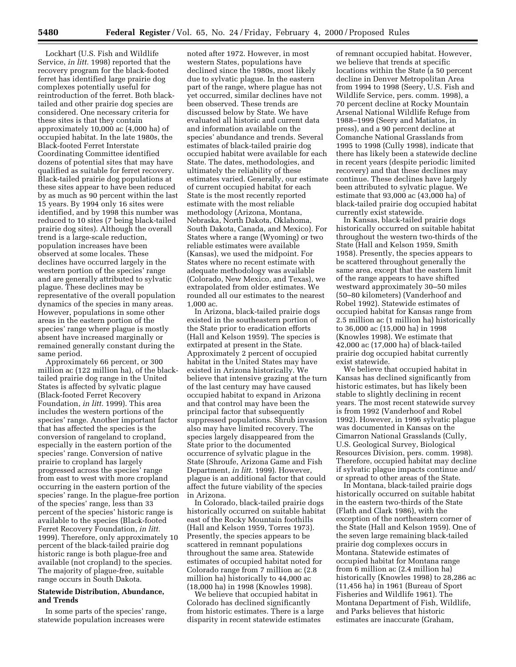Lockhart (U.S. Fish and Wildlife Service, *in litt.* 1998) reported that the recovery program for the black-footed ferret has identified large prairie dog complexes potentially useful for reintroduction of the ferret. Both blacktailed and other prairie dog species are considered. One necessary criteria for these sites is that they contain approximately 10,000 ac (4,000 ha) of occupied habitat. In the late 1980s, the Black-footed Ferret Interstate Coordinating Committee identified dozens of potential sites that may have qualified as suitable for ferret recovery. Black-tailed prairie dog populations at these sites appear to have been reduced by as much as 90 percent within the last 15 years. By 1994 only 16 sites were identified, and by 1998 this number was reduced to 10 sites (7 being black-tailed prairie dog sites). Although the overall trend is a large-scale reduction, population increases have been observed at some locales. These declines have occurred largely in the western portion of the species' range and are generally attributed to sylvatic plague. These declines may be representative of the overall population dynamics of the species in many areas. However, populations in some other areas in the eastern portion of the species' range where plague is mostly absent have increased marginally or remained generally constant during the same period.

Approximately 66 percent, or 300 million ac (122 million ha), of the blacktailed prairie dog range in the United States is affected by sylvatic plague (Black-footed Ferret Recovery Foundation, *in litt.* 1999). This area includes the western portions of the species' range. Another important factor that has affected the species is the conversion of rangeland to cropland, especially in the eastern portion of the species' range. Conversion of native prairie to cropland has largely progressed across the species' range from east to west with more cropland occurring in the eastern portion of the species' range. In the plague-free portion of the species' range, less than 33 percent of the species' historic range is available to the species (Black-footed Ferret Recovery Foundation, *in litt.* 1999). Therefore, only approximately 10 percent of the black-tailed prairie dog historic range is both plague-free and available (not cropland) to the species. The majority of plague-free, suitable range occurs in South Dakota.

# **Statewide Distribution, Abundance, and Trends**

In some parts of the species' range, statewide population increases were

noted after 1972. However, in most western States, populations have declined since the 1980s, most likely due to sylvatic plague. In the eastern part of the range, where plague has not yet occurred, similar declines have not been observed. These trends are discussed below by State. We have evaluated all historic and current data and information available on the species' abundance and trends. Several estimates of black-tailed prairie dog occupied habitat were available for each State. The dates, methodologies, and ultimately the reliability of these estimates varied. Generally, our estimate of current occupied habitat for each State is the most recently reported estimate with the most reliable methodology (Arizona, Montana, Nebraska, North Dakota, Oklahoma, South Dakota, Canada, and Mexico). For States where a range (Wyoming) or two reliable estimates were available (Kansas), we used the midpoint. For States where no recent estimate with adequate methodology was available (Colorado, New Mexico, and Texas), we extrapolated from older estimates. We rounded all our estimates to the nearest 1,000 ac.

In Arizona, black-tailed prairie dogs existed in the southeastern portion of the State prior to eradication efforts (Hall and Kelson 1959). The species is extirpated at present in the State. Approximately 2 percent of occupied habitat in the United States may have existed in Arizona historically. We believe that intensive grazing at the turn of the last century may have caused occupied habitat to expand in Arizona and that control may have been the principal factor that subsequently suppressed populations. Shrub invasion also may have limited recovery. The species largely disappeared from the State prior to the documented occurrence of sylvatic plague in the State (Shroufe, Arizona Game and Fish Department, *in litt.* 1999). However, plague is an additional factor that could affect the future viability of the species in Arizona.

In Colorado, black-tailed prairie dogs historically occurred on suitable habitat east of the Rocky Mountain foothills (Hall and Kelson 1959, Torres 1973). Presently, the species appears to be scattered in remnant populations throughout the same area. Statewide estimates of occupied habitat noted for Colorado range from 7 million ac (2.8 million ha) historically to 44,000 ac (18,000 ha) in 1998 (Knowles 1998).

We believe that occupied habitat in Colorado has declined significantly from historic estimates. There is a large disparity in recent statewide estimates

of remnant occupied habitat. However, we believe that trends at specific locations within the State (a 50 percent decline in Denver Metropolitan Area from 1994 to 1998 (Seery, U.S. Fish and Wildlife Service, pers. comm. 1998), a 70 percent decline at Rocky Mountain Arsenal National Wildlife Refuge from 1988–1999 (Seery and Matiatos, in press), and a 90 percent decline at Comanche National Grasslands from 1995 to 1998 (Cully 1998), indicate that there has likely been a statewide decline in recent years (despite periodic limited recovery) and that these declines may continue. These declines have largely been attributed to sylvatic plague. We estimate that 93,000 ac (43,000 ha) of black-tailed prairie dog occupied habitat currently exist statewide.

In Kansas, black-tailed prairie dogs historically occurred on suitable habitat throughout the western two-thirds of the State (Hall and Kelson 1959, Smith 1958). Presently, the species appears to be scattered throughout generally the same area, except that the eastern limit of the range appears to have shifted westward approximately 30–50 miles (50–80 kilometers) (Vanderhoof and Robel 1992). Statewide estimates of occupied habitat for Kansas range from 2.5 million ac (1 million ha) historically to 36,000 ac (15,000 ha) in 1998 (Knowles 1998). We estimate that 42,000 ac (17,000 ha) of black-tailed prairie dog occupied habitat currently exist statewide.

We believe that occupied habitat in Kansas has declined significantly from historic estimates, but has likely been stable to slightly declining in recent years. The most recent statewide survey is from 1992 (Vanderhoof and Robel 1992). However, in 1996 sylvatic plague was documented in Kansas on the Cimarron National Grasslands (Cully, U.S. Geological Survey, Biological Resources Division, pers. comm. 1998). Therefore, occupied habitat may decline if sylvatic plague impacts continue and/ or spread to other areas of the State.

In Montana, black-tailed prairie dogs historically occurred on suitable habitat in the eastern two-thirds of the State (Flath and Clark 1986), with the exception of the northeastern corner of the State (Hall and Kelson 1959). One of the seven large remaining black-tailed prairie dog complexes occurs in Montana. Statewide estimates of occupied habitat for Montana range from 6 million ac (2.4 million ha) historically (Knowles 1998) to 28,286 ac (11,456 ha) in 1961 (Bureau of Sport Fisheries and Wildlife 1961). The Montana Department of Fish, Wildlife, and Parks believes that historic estimates are inaccurate (Graham,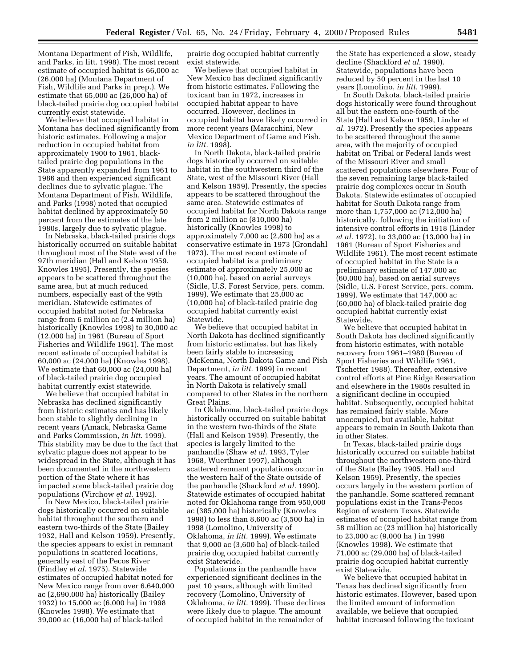Montana Department of Fish, Wildlife, and Parks, in litt. 1998). The most recent estimate of occupied habitat is 66,000 ac (26,000 ha) (Montana Department of Fish, Wildlife and Parks in prep.). We estimate that 65,000 ac (26,000 ha) of black-tailed prairie dog occupied habitat currently exist statewide.

We believe that occupied habitat in Montana has declined significantly from historic estimates. Following a major reduction in occupied habitat from approximately 1900 to 1961, blacktailed prairie dog populations in the State apparently expanded from 1961 to 1986 and then experienced significant declines due to sylvatic plague. The Montana Department of Fish, Wildlife, and Parks (1998) noted that occupied habitat declined by approximately 50 percent from the estimates of the late 1980s, largely due to sylvatic plague.

In Nebraska, black-tailed prairie dogs historically occurred on suitable habitat throughout most of the State west of the 97th meridian (Hall and Kelson 1959, Knowles 1995). Presently, the species appears to be scattered throughout the same area, but at much reduced numbers, especially east of the 99th meridian. Statewide estimates of occupied habitat noted for Nebraska range from 6 million ac (2.4 million ha) historically (Knowles 1998) to 30,000 ac (12,000 ha) in 1961 (Bureau of Sport Fisheries and Wildlife 1961). The most recent estimate of occupied habitat is 60,000 ac (24,000 ha) (Knowles 1998). We estimate that 60,000 ac (24,000 ha) of black-tailed prairie dog occupied habitat currently exist statewide.

We believe that occupied habitat in Nebraska has declined significantly from historic estimates and has likely been stable to slightly declining in recent years (Amack, Nebraska Game and Parks Commission, *in litt.* 1999). This stability may be due to the fact that sylvatic plague does not appear to be widespread in the State, although it has been documented in the northwestern portion of the State where it has impacted some black-tailed prairie dog populations (Virchow *et al.* 1992).

In New Mexico, black-tailed prairie dogs historically occurred on suitable habitat throughout the southern and eastern two-thirds of the State (Bailey 1932, Hall and Kelson 1959). Presently, the species appears to exist in remnant populations in scattered locations, generally east of the Pecos River (Findley *et al.* 1975). Statewide estimates of occupied habitat noted for New Mexico range from over 6,640,000 ac (2,690,000 ha) historically (Bailey 1932) to 15,000 ac (6,000 ha) in 1998 (Knowles 1998). We estimate that 39,000 ac (16,000 ha) of black-tailed

prairie dog occupied habitat currently exist statewide.

We believe that occupied habitat in New Mexico has declined significantly from historic estimates. Following the toxicant ban in 1972, increases in occupied habitat appear to have occurred. However, declines in occupied habitat have likely occurred in more recent years (Maracchini, New Mexico Department of Game and Fish, *in litt.* 1998).

In North Dakota, black-tailed prairie dogs historically occurred on suitable habitat in the southwestern third of the State, west of the Missouri River (Hall and Kelson 1959). Presently, the species appears to be scattered throughout the same area. Statewide estimates of occupied habitat for North Dakota range from 2 million ac (810,000 ha) historically (Knowles 1998) to approximately 7,000 ac (2,800 ha) as a conservative estimate in 1973 (Grondahl 1973). The most recent estimate of occupied habitat is a preliminary estimate of approximately 25,000 ac (10,000 ha), based on aerial surveys (Sidle, U.S. Forest Service, pers. comm. 1999). We estimate that 25,000 ac (10,000 ha) of black-tailed prairie dog occupied habitat currently exist Statewide.

We believe that occupied habitat in North Dakota has declined significantly from historic estimates, but has likely been fairly stable to increasing (McKenna, North Dakota Game and Fish Department, *in litt.* 1999) in recent years. The amount of occupied habitat in North Dakota is relatively small compared to other States in the northern Great Plains.

In Oklahoma, black-tailed prairie dogs historically occurred on suitable habitat in the western two-thirds of the State (Hall and Kelson 1959). Presently, the species is largely limited to the panhandle (Shaw *et al.* 1993, Tyler 1968, Wuerthner 1997), although scattered remnant populations occur in the western half of the State outside of the panhandle (Shackford *et al.* 1990). Statewide estimates of occupied habitat noted for Oklahoma range from 950,000 ac (385,000 ha) historically (Knowles 1998) to less than 8,600 ac (3,500 ha) in 1998 (Lomolino, University of Oklahoma, *in litt.* 1999). We estimate that 9,000 ac (3,600 ha) of black-tailed prairie dog occupied habitat currently exist Statewide.

Populations in the panhandle have experienced significant declines in the past 10 years, although with limited recovery (Lomolino, University of Oklahoma, *in litt.* 1999). These declines were likely due to plague. The amount of occupied habitat in the remainder of

the State has experienced a slow, steady decline (Shackford *et al.* 1990). Statewide, populations have been reduced by 50 percent in the last 10 years (Lomolino, *in litt.* 1999).

In South Dakota, black-tailed prairie dogs historically were found throughout all but the eastern one-fourth of the State (Hall and Kelson 1959, Linder *et al.* 1972). Presently the species appears to be scattered throughout the same area, with the majority of occupied habitat on Tribal or Federal lands west of the Missouri River and small scattered populations elsewhere. Four of the seven remaining large black-tailed prairie dog complexes occur in South Dakota. Statewide estimates of occupied habitat for South Dakota range from more than 1,757,000 ac (712,000 ha) historically, following the initiation of intensive control efforts in 1918 (Linder *et al.* 1972), to 33,000 ac (13,000 ha) in 1961 (Bureau of Sport Fisheries and Wildlife 1961). The most recent estimate of occupied habitat in the State is a preliminary estimate of 147,000 ac (60,000 ha), based on aerial surveys (Sidle, U.S. Forest Service, pers. comm. 1999). We estimate that 147,000 ac (60,000 ha) of black-tailed prairie dog occupied habitat currently exist Statewide.

We believe that occupied habitat in South Dakota has declined significantly from historic estimates, with notable recovery from 1961–1980 (Bureau of Sport Fisheries and Wildlife 1961, Tschetter 1988). Thereafter, extensive control efforts at Pine Ridge Reservation and elsewhere in the 1980s resulted in a significant decline in occupied habitat. Subsequently, occupied habitat has remained fairly stable. More unoccupied, but available, habitat appears to remain in South Dakota than in other States.

In Texas, black-tailed prairie dogs historically occurred on suitable habitat throughout the northwestern one-third of the State (Bailey 1905, Hall and Kelson 1959). Presently, the species occurs largely in the western portion of the panhandle. Some scattered remnant populations exist in the Trans-Pecos Region of western Texas. Statewide estimates of occupied habitat range from 58 million ac (23 million ha) historically to 23,000 ac (9,000 ha ) in 1998 (Knowles 1998). We estimate that 71,000 ac (29,000 ha) of black-tailed prairie dog occupied habitat currently exist Statewide.

We believe that occupied habitat in Texas has declined significantly from historic estimates. However, based upon the limited amount of information available, we believe that occupied habitat increased following the toxicant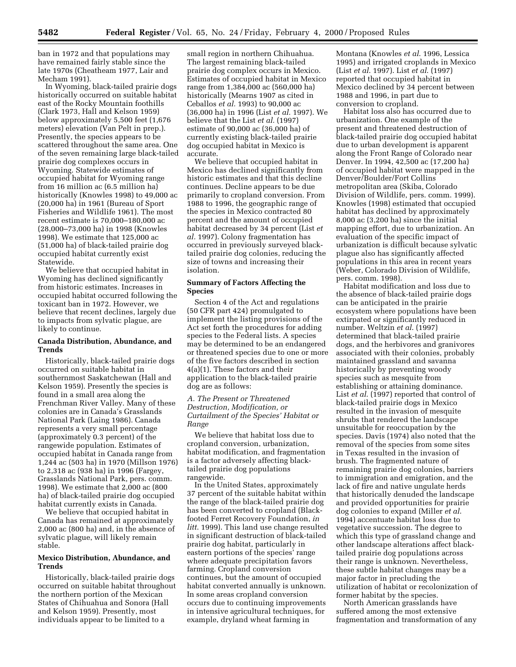ban in 1972 and that populations may have remained fairly stable since the late 1970s (Cheatheam 1977, Lair and Mecham 1991).

In Wyoming, black-tailed prairie dogs historically occurred on suitable habitat east of the Rocky Mountain foothills (Clark 1973, Hall and Kelson 1959) below approximately 5,500 feet (1,676 meters) elevation (Van Pelt in prep.). Presently, the species appears to be scattered throughout the same area. One of the seven remaining large black-tailed prairie dog complexes occurs in Wyoming. Statewide estimates of occupied habitat for Wyoming range from 16 million ac (6.5 million ha) historically (Knowles 1998) to 49,000 ac (20,000 ha) in 1961 (Bureau of Sport Fisheries and Wildlife 1961). The most recent estimate is 70,000–180,000 ac (28,000–73,000 ha) in 1998 (Knowles 1998). We estimate that 125,000 ac (51,000 ha) of black-tailed prairie dog occupied habitat currently exist Statewide.

We believe that occupied habitat in Wyoming has declined significantly from historic estimates. Increases in occupied habitat occurred following the toxicant ban in 1972. However, we believe that recent declines, largely due to impacts from sylvatic plague, are likely to continue.

## **Canada Distribution, Abundance, and Trends**

Historically, black-tailed prairie dogs occurred on suitable habitat in southernmost Saskatchewan (Hall and Kelson 1959). Presently the species is found in a small area along the Frenchman River Valley. Many of these colonies are in Canada's Grasslands National Park (Laing 1986). Canada represents a very small percentage (approximately 0.3 percent) of the rangewide population. Estimates of occupied habitat in Canada range from 1,244 ac (503 ha) in 1970 (Millson 1976) to 2,318 ac (938 ha) in 1996 (Fargey, Grasslands National Park, pers. comm. 1998). We estimate that 2,000 ac (800 ha) of black-tailed prairie dog occupied habitat currently exists in Canada.

We believe that occupied habitat in Canada has remained at approximately 2,000 ac (800 ha) and, in the absence of sylvatic plague, will likely remain stable.

### **Mexico Distribution, Abundance, and Trends**

Historically, black-tailed prairie dogs occurred on suitable habitat throughout the northern portion of the Mexican States of Chihuahua and Sonora (Hall and Kelson 1959). Presently, most individuals appear to be limited to a

small region in northern Chihuahua. The largest remaining black-tailed prairie dog complex occurs in Mexico. Estimates of occupied habitat in Mexico range from 1,384,000 ac (560,000 ha) historically (Mearns 1907 as cited in Ceballos *et al.* 1993) to 90,000 ac (36,000 ha) in 1996 (List *et al.* 1997). We believe that the List *et al.* (1997) estimate of 90,000 ac (36,000 ha) of currently existing black-tailed prairie dog occupied habitat in Mexico is accurate.

We believe that occupied habitat in Mexico has declined significantly from historic estimates and that this decline continues. Decline appears to be due primarily to cropland conversion. From 1988 to 1996, the geographic range of the species in Mexico contracted 80 percent and the amount of occupied habitat decreased by 34 percent (List *et al.* 1997). Colony fragmentation has occurred in previously surveyed blacktailed prairie dog colonies, reducing the size of towns and increasing their isolation.

# **Summary of Factors Affecting the Species**

Section 4 of the Act and regulations (50 CFR part 424) promulgated to implement the listing provisions of the Act set forth the procedures for adding species to the Federal lists. A species may be determined to be an endangered or threatened species due to one or more of the five factors described in section 4(a)(1). These factors and their application to the black-tailed prairie dog are as follows:

# *A. The Present or Threatened Destruction, Modification, or Curtailment of the Species' Habitat or Range*

We believe that habitat loss due to cropland conversion, urbanization, habitat modification, and fragmentation is a factor adversely affecting blacktailed prairie dog populations rangewide.

In the United States, approximately 37 percent of the suitable habitat within the range of the black-tailed prairie dog has been converted to cropland (Blackfooted Ferret Recovery Foundation, *in litt*. 1999). This land use change resulted in significant destruction of black-tailed prairie dog habitat, particularly in eastern portions of the species' range where adequate precipitation favors farming. Cropland conversion continues, but the amount of occupied habitat converted annually is unknown. In some areas cropland conversion occurs due to continuing improvements in intensive agricultural techniques, for example, dryland wheat farming in

Montana (Knowles *et al*. 1996, Lessica 1995) and irrigated croplands in Mexico (List *et al*. 1997). List *et al*. (1997) reported that occupied habitat in Mexico declined by 34 percent between 1988 and 1996, in part due to conversion to cropland.

Habitat loss also has occurred due to urbanization. One example of the present and threatened destruction of black-tailed prairie dog occupied habitat due to urban development is apparent along the Front Range of Colorado near Denver. In 1994, 42,500 ac (17,200 ha) of occupied habitat were mapped in the Denver/Boulder/Fort Collins metropolitan area (Skiba, Colorado Division of Wildlife, pers. comm. 1999). Knowles (1998) estimated that occupied habitat has declined by approximately 8,000 ac (3,200 ha) since the initial mapping effort, due to urbanization. An evaluation of the specific impact of urbanization is difficult because sylvatic plague also has significantly affected populations in this area in recent years (Weber, Colorado Division of Wildlife, pers. comm. 1998).

Habitat modification and loss due to the absence of black-tailed prairie dogs can be anticipated in the prairie ecosystem where populations have been extirpated or significantly reduced in number. Weltzin *et al*. (1997) determined that black-tailed prairie dogs, and the herbivores and granivores associated with their colonies, probably maintained grassland and savanna historically by preventing woody species such as mesquite from establishing or attaining dominance. List *et al*. (1997) reported that control of black-tailed prairie dogs in Mexico resulted in the invasion of mesquite shrubs that rendered the landscape unsuitable for reoccupation by the species. Davis (1974) also noted that the removal of the species from some sites in Texas resulted in the invasion of brush. The fragmented nature of remaining prairie dog colonies, barriers to immigration and emigration, and the lack of fire and native ungulate herds that historically denuded the landscape and provided opportunities for prairie dog colonies to expand (Miller *et al*. 1994) accentuate habitat loss due to vegetative succession. The degree to which this type of grassland change and other landscape alterations affect blacktailed prairie dog populations across their range is unknown. Nevertheless, these subtle habitat changes may be a major factor in precluding the utilization of habitat or recolonization of former habitat by the species.

North American grasslands have suffered among the most extensive fragmentation and transformation of any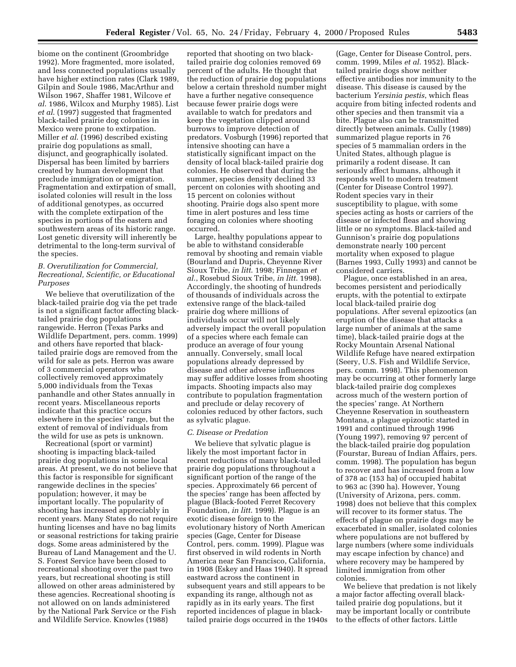biome on the continent (Groombridge 1992). More fragmented, more isolated, and less connected populations usually have higher extinction rates (Clark 1989, Gilpin and Soule 1986, MacArthur and Wilson 1967, Shaffer 1981, Wilcove *et al*. 1986, Wilcox and Murphy 1985). List *et al*. (1997) suggested that fragmented black-tailed prairie dog colonies in Mexico were prone to extirpation. Miller *et al*. (1996) described existing prairie dog populations as small, disjunct, and geographically isolated. Dispersal has been limited by barriers created by human development that preclude immigration or emigration. Fragmentation and extirpation of small, isolated colonies will result in the loss of additional genotypes, as occurred with the complete extirpation of the species in portions of the eastern and southwestern areas of its historic range. Lost genetic diversity will inherently be detrimental to the long-term survival of the species.

## *B. Overutilization for Commercial, Recreational, Scientific, or Educational Purposes*

We believe that overutilization of the black-tailed prairie dog via the pet trade is not a significant factor affecting blacktailed prairie dog populations rangewide. Herron (Texas Parks and Wildlife Department, pers. comm. 1999) and others have reported that blacktailed prairie dogs are removed from the wild for sale as pets. Herron was aware of 3 commercial operators who collectively removed approximately 5,000 individuals from the Texas panhandle and other States annually in recent years. Miscellaneous reports indicate that this practice occurs elsewhere in the species' range, but the extent of removal of individuals from the wild for use as pets is unknown.

Recreational (sport or varmint) shooting is impacting black-tailed prairie dog populations in some local areas. At present, we do not believe that this factor is responsible for significant rangewide declines in the species' population; however, it may be important locally. The popularity of shooting has increased appreciably in recent years. Many States do not require hunting licenses and have no bag limits or seasonal restrictions for taking prairie dogs. Some areas administered by the Bureau of Land Management and the U. S. Forest Service have been closed to recreational shooting over the past two years, but recreational shooting is still allowed on other areas administered by these agencies. Recreational shooting is not allowed on on lands administered by the National Park Service or the Fish and Wildlife Service. Knowles (1988)

reported that shooting on two blacktailed prairie dog colonies removed 69 percent of the adults. He thought that the reduction of prairie dog populations below a certain threshold number might have a further negative consequence because fewer prairie dogs were available to watch for predators and keep the vegetation clipped around burrows to improve detection of predators. Vosburgh (1996) reported that intensive shooting can have a statistically significant impact on the density of local black-tailed prairie dog colonies. He observed that during the summer, species density declined 33 percent on colonies with shooting and 15 percent on colonies without shooting. Prairie dogs also spent more time in alert postures and less time foraging on colonies where shooting occurred.

Large, healthy populations appear to be able to withstand considerable removal by shooting and remain viable (Bourland and Dupris, Cheyenne River Sioux Tribe, *in litt*. 1998; Finnegan *et al*., Rosebud Sioux Tribe, *in litt*. 1998). Accordingly, the shooting of hundreds of thousands of individuals across the extensive range of the black-tailed prairie dog where millions of individuals occur will not likely adversely impact the overall population of a species where each female can produce an average of four young annually. Conversely, small local populations already depressed by disease and other adverse influences may suffer additive losses from shooting impacts. Shooting impacts also may contribute to population fragmentation and preclude or delay recovery of colonies reduced by other factors, such as sylvatic plague.

### *C. Disease or Predation*

We believe that sylvatic plague is likely the most important factor in recent reductions of many black-tailed prairie dog populations throughout a significant portion of the range of the species. Approximately 66 percent of the species' range has been affected by plague (Black-footed Ferret Recovery Foundation, *in litt*. 1999). Plague is an exotic disease foreign to the evolutionary history of North American species (Gage, Center for Disease Control, pers. comm. 1999). Plague was first observed in wild rodents in North America near San Francisco, California, in 1908 (Eskey and Haas 1940). It spread eastward across the continent in subsequent years and still appears to be expanding its range, although not as rapidly as in its early years. The first reported incidences of plague in blacktailed prairie dogs occurred in the 1940s

(Gage, Center for Disease Control, pers. comm. 1999, Miles *et al*. 1952). Blacktailed prairie dogs show neither effective antibodies nor immunity to the disease. This disease is caused by the bacterium *Yersinia pestis*, which fleas acquire from biting infected rodents and other species and then transmit via a bite. Plague also can be transmitted directly between animals. Cully (1989) summarized plague reports in 76 species of 5 mammalian orders in the United States, although plague is primarily a rodent disease. It can seriously affect humans, although it responds well to modern treatment (Center for Disease Control 1997). Rodent species vary in their susceptibility to plague, with some species acting as hosts or carriers of the disease or infected fleas and showing little or no symptoms. Black-tailed and Gunnison's prairie dog populations demonstrate nearly 100 percent mortality when exposed to plague (Barnes 1993, Cully 1993) and cannot be considered carriers.

Plague, once established in an area, becomes persistent and periodically erupts, with the potential to extirpate local black-tailed prairie dog populations. After several epizootics (an eruption of the disease that attacks a large number of animals at the same time), black-tailed prairie dogs at the Rocky Mountain Arsenal National Wildlife Refuge have neared extirpation (Seery, U.S. Fish and Wildlife Service, pers. comm. 1998). This phenomenon may be occurring at other formerly large black-tailed prairie dog complexes across much of the western portion of the species' range. At Northern Cheyenne Reservation in southeastern Montana, a plague epizootic started in 1991 and continued through 1996 (Young 1997), removing 97 percent of the black-tailed prairie dog population (Fourstar, Bureau of Indian Affairs, pers. comm. 1998). The population has begun to recover and has increased from a low of 378 ac (153 ha) of occupied habitat to 963 ac (390 ha). However, Young (University of Arizona, pers. comm. 1998) does not believe that this complex will recover to its former status. The effects of plague on prairie dogs may be exacerbated in smaller, isolated colonies where populations are not buffered by large numbers (where some individuals may escape infection by chance) and where recovery may be hampered by limited immigration from other colonies.

We believe that predation is not likely a major factor affecting overall blacktailed prairie dog populations, but it may be important locally or contribute to the effects of other factors. Little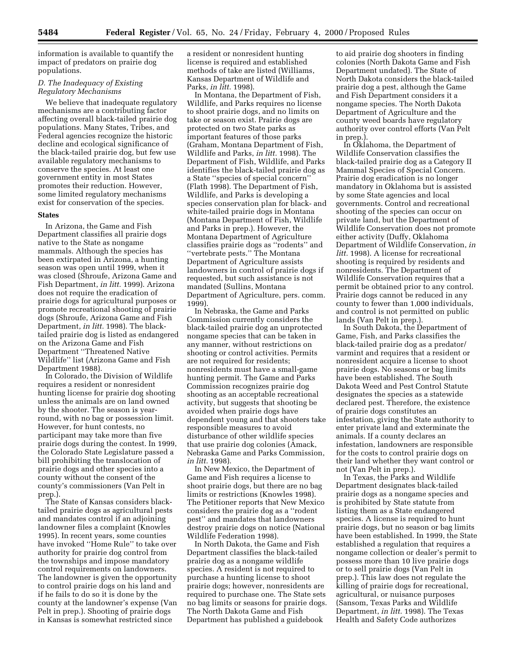information is available to quantify the impact of predators on prairie dog populations.

# *D. The Inadequacy of Existing Regulatory Mechanisms*

We believe that inadequate regulatory mechanisms are a contributing factor affecting overall black-tailed prairie dog populations. Many States, Tribes, and Federal agencies recognize the historic decline and ecological significance of the black-tailed prairie dog, but few use available regulatory mechanisms to conserve the species. At least one government entity in most States promotes their reduction. However, some limited regulatory mechanisms exist for conservation of the species.

#### **States**

In Arizona, the Game and Fish Department classifies all prairie dogs native to the State as nongame mammals. Although the species has been extirpated in Arizona, a hunting season was open until 1999, when it was closed (Shroufe, Arizona Game and Fish Department, *in litt.* 1999). Arizona does not require the eradication of prairie dogs for agricultural purposes or promote recreational shooting of prairie dogs (Shroufe, Arizona Game and Fish Department, *in litt.* 1998). The blacktailed prairie dog is listed as endangered on the Arizona Game and Fish Department ''Threatened Native Wildlife'' list (Arizona Game and Fish Department 1988).

In Colorado, the Division of Wildlife requires a resident or nonresident hunting license for prairie dog shooting unless the animals are on land owned by the shooter. The season is yearround, with no bag or possession limit. However, for hunt contests, no participant may take more than five prairie dogs during the contest. In 1999, the Colorado State Legislature passed a bill prohibiting the translocation of prairie dogs and other species into a county without the consent of the county's commissioners (Van Pelt in prep.).

The State of Kansas considers blacktailed prairie dogs as agricultural pests and mandates control if an adjoining landowner files a complaint (Knowles 1995). In recent years, some counties have invoked ''Home Rule'' to take over authority for prairie dog control from the townships and impose mandatory control requirements on landowners. The landowner is given the opportunity to control prairie dogs on his land and if he fails to do so it is done by the county at the landowner's expense (Van Pelt in prep.). Shooting of prairie dogs in Kansas is somewhat restricted since

a resident or nonresident hunting license is required and established methods of take are listed (Williams, Kansas Department of Wildlife and Parks, *in litt.* 1998).

In Montana, the Department of Fish, Wildlife, and Parks requires no license to shoot prairie dogs, and no limits on take or season exist. Prairie dogs are protected on two State parks as important features of those parks (Graham, Montana Department of Fish, Wildlife and Parks, *in litt.* 1998). The Department of Fish, Wildlife, and Parks identifies the black-tailed prairie dog as a State ''species of special concern'' (Flath 1998). The Department of Fish, Wildlife, and Parks is developing a species conservation plan for black- and white-tailed prairie dogs in Montana (Montana Department of Fish, Wildlife and Parks in prep.). However, the Montana Department of Agriculture classifies prairie dogs as ''rodents'' and ''vertebrate pests.'' The Montana Department of Agriculture assists landowners in control of prairie dogs if requested, but such assistance is not mandated (Sullins, Montana Department of Agriculture, pers. comm. 1999).

In Nebraska, the Game and Parks Commission currently considers the black-tailed prairie dog an unprotected nongame species that can be taken in any manner, without restrictions on shooting or control activities. Permits are not required for residents; nonresidents must have a small-game hunting permit. The Game and Parks Commission recognizes prairie dog shooting as an acceptable recreational activity, but suggests that shooting be avoided when prairie dogs have dependent young and that shooters take responsible measures to avoid disturbance of other wildlife species that use prairie dog colonies (Amack, Nebraska Game and Parks Commission, *in litt.* 1998).

In New Mexico, the Department of Game and Fish requires a license to shoot prairie dogs, but there are no bag limits or restrictions (Knowles 1998). The Petitioner reports that New Mexico considers the prairie dog as a ''rodent pest'' and mandates that landowners destroy prairie dogs on notice (National Wildlife Federation 1998).

In North Dakota, the Game and Fish Department classifies the black-tailed prairie dog as a nongame wildlife species. A resident is not required to purchase a hunting license to shoot prairie dogs; however, nonresidents are required to purchase one. The State sets no bag limits or seasons for prairie dogs. The North Dakota Game and Fish Department has published a guidebook

to aid prairie dog shooters in finding colonies (North Dakota Game and Fish Department undated). The State of North Dakota considers the black-tailed prairie dog a pest, although the Game and Fish Department considers it a nongame species. The North Dakota Department of Agriculture and the county weed boards have regulatory authority over control efforts (Van Pelt in prep.).

In Oklahoma, the Department of Wildlife Conservation classifies the black-tailed prairie dog as a Category II Mammal Species of Special Concern. Prairie dog eradication is no longer mandatory in Oklahoma but is assisted by some State agencies and local governments. Control and recreational shooting of the species can occur on private land, but the Department of Wildlife Conservation does not promote either activity (Duffy, Oklahoma Department of Wildlife Conservation, *in litt.* 1998). A license for recreational shooting is required by residents and nonresidents. The Department of Wildlife Conservation requires that a permit be obtained prior to any control. Prairie dogs cannot be reduced in any county to fewer than 1,000 individuals, and control is not permitted on public lands (Van Pelt in prep.).

In South Dakota, the Department of Game, Fish, and Parks classifies the black-tailed prairie dog as a predator/ varmint and requires that a resident or nonresident acquire a license to shoot prairie dogs. No seasons or bag limits have been established. The South Dakota Weed and Pest Control Statute designates the species as a statewide declared pest. Therefore, the existence of prairie dogs constitutes an infestation, giving the State authority to enter private land and exterminate the animals. If a county declares an infestation, landowners are responsible for the costs to control prairie dogs on their land whether they want control or not (Van Pelt in prep.).

In Texas, the Parks and Wildlife Department designates black-tailed prairie dogs as a nongame species and is prohibited by State statute from listing them as a State endangered species. A license is required to hunt prairie dogs, but no season or bag limits have been established. In 1999, the State established a regulation that requires a nongame collection or dealer's permit to possess more than 10 live prairie dogs or to sell prairie dogs (Van Pelt in prep.). This law does not regulate the killing of prairie dogs for recreational, agricultural, or nuisance purposes (Sansom, Texas Parks and Wildlife Department, *in litt.* 1998). The Texas Health and Safety Code authorizes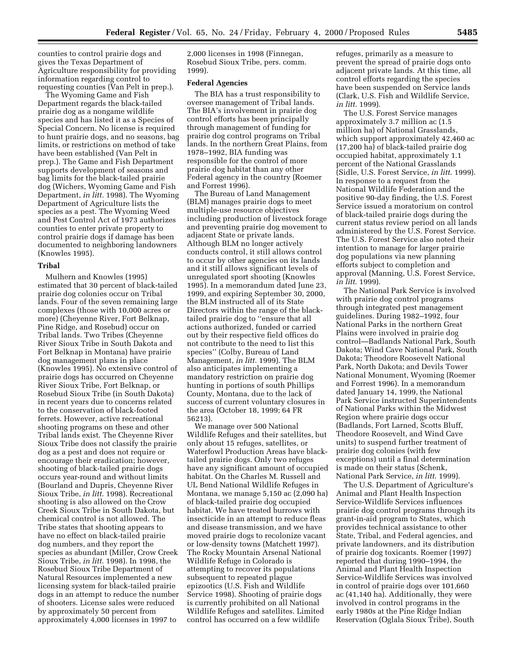counties to control prairie dogs and gives the Texas Department of Agriculture responsibility for providing information regarding control to requesting counties (Van Pelt in prep.).

The Wyoming Game and Fish Department regards the black-tailed prairie dog as a nongame wildlife species and has listed it as a Species of Special Concern. No license is required to hunt prairie dogs, and no seasons, bag limits, or restrictions on method of take have been established (Van Pelt in prep.). The Game and Fish Department supports development of seasons and bag limits for the black-tailed prairie dog (Wichers, Wyoming Game and Fish Department, *in litt.* 1998). The Wyoming Department of Agriculture lists the species as a pest. The Wyoming Weed and Pest Control Act of 1973 authorizes counties to enter private property to control prairie dogs if damage has been documented to neighboring landowners (Knowles 1995).

#### **Tribal**

Mulhern and Knowles (1995) estimated that 30 percent of black-tailed prairie dog colonies occur on Tribal lands. Four of the seven remaining large complexes (those with 10,000 acres or more) (Cheyenne River, Fort Belknap, Pine Ridge, and Rosebud) occur on Tribal lands. Two Tribes (Cheyenne River Sioux Tribe in South Dakota and Fort Belknap in Montana) have prairie dog management plans in place (Knowles 1995). No extensive control of prairie dogs has occurred on Cheyenne River Sioux Tribe, Fort Belknap, or Rosebud Sioux Tribe (in South Dakota) in recent years due to concerns related to the conservation of black-footed ferrets. However, active recreational shooting programs on these and other Tribal lands exist. The Cheyenne River Sioux Tribe does not classify the prairie dog as a pest and does not require or encourage their eradication; however, shooting of black-tailed prairie dogs occurs year-round and without limits (Bourland and Dupris, Cheyenne River Sioux Tribe, *in litt.* 1998). Recreational shooting is also allowed on the Crow Creek Sioux Tribe in South Dakota, but chemical control is not allowed. The Tribe states that shooting appears to have no effect on black-tailed prairie dog numbers, and they report the species as abundant (Miller, Crow Creek Sioux Tribe, *in litt.* 1998). In 1998, the Rosebud Sioux Tribe Department of Natural Resources implemented a new licensing system for black-tailed prairie dogs in an attempt to reduce the number of shooters. License sales were reduced by approximately 50 percent from approximately 4,000 licenses in 1997 to

2,000 licenses in 1998 (Finnegan, Rosebud Sioux Tribe, pers. comm. 1999).

#### **Federal Agencies**

The BIA has a trust responsibility to oversee management of Tribal lands. The BIA's involvement in prairie dog control efforts has been principally through management of funding for prairie dog control programs on Tribal lands. In the northern Great Plains, from 1978–1992, BIA funding was responsible for the control of more prairie dog habitat than any other Federal agency in the country (Roemer and Forrest 1996).

The Bureau of Land Management (BLM) manages prairie dogs to meet multiple-use resource objectives including production of livestock forage and preventing prairie dog movement to adjacent State or private lands. Although BLM no longer actively conducts control, it still allows control to occur by other agencies on its lands and it still allows significant levels of unregulated sport shooting (Knowles 1995). In a memorandum dated June 23, 1999, and expiring September 30, 2000, the BLM instructed all of its State Directors within the range of the blacktailed prairie dog to ''ensure that all actions authorized, funded or carried out by their respective field offices do not contribute to the need to list this species'' (Colby, Bureau of Land Management, *in litt.* 1999). The BLM also anticipates implementing a mandatory restriction on prairie dog hunting in portions of south Phillips County, Montana, due to the lack of success of current voluntary closures in the area (October 18, 1999; 64 FR 56213).

We manage over 500 National Wildlife Refuges and their satellites, but only about 15 refuges, satellites, or Waterfowl Production Areas have blacktailed prairie dogs. Only two refuges have any significant amount of occupied habitat. On the Charles M. Russell and UL Bend National Wildlife Refuges in Montana, we manage 5,150 ac (2,090 ha) of black-tailed prairie dog occupied habitat. We have treated burrows with insecticide in an attempt to reduce fleas and disease transmission, and we have moved prairie dogs to recolonize vacant or low-density towns (Matchett 1997). The Rocky Mountain Arsenal National Wildlife Refuge in Colorado is attempting to recover its populations subsequent to repeated plague epizootics (U.S. Fish and Wildlife Service 1998). Shooting of prairie dogs is currently prohibited on all National Wildlife Refuges and satellites. Limited control has occurred on a few wildlife

refuges, primarily as a measure to prevent the spread of prairie dogs onto adjacent private lands. At this time, all control efforts regarding the species have been suspended on Service lands (Clark, U.S. Fish and Wildlife Service, *in litt.* 1999).

The U.S. Forest Service manages approximately 3.7 million ac (1.5 million ha) of National Grasslands, which support approximately 42,460 ac (17,200 ha) of black-tailed prairie dog occupied habitat, approximately 1.1 percent of the National Grasslands (Sidle, U.S. Forest Service, *in litt*. 1999). In response to a request from the National Wildlife Federation and the positive 90-day finding, the U.S. Forest Service issued a moratorium on control of black-tailed prairie dogs during the current status review period on all lands administered by the U.S. Forest Service. The U.S. Forest Service also noted their intention to manage for larger prairie dog populations via new planning efforts subject to completion and approval (Manning, U.S. Forest Service, *in litt*. 1999).

The National Park Service is involved with prairie dog control programs through integrated pest management guidelines. During 1982–1992, four National Parks in the northern Great Plains were involved in prairie dog control—Badlands National Park, South Dakota; Wind Cave National Park, South Dakota; Theodore Roosevelt National Park, North Dakota; and Devils Tower National Monument, Wyoming (Roemer and Forrest 1996). In a memorandum dated January 14, 1999, the National Park Service instructed Superintendents of National Parks within the Midwest Region where prairie dogs occur (Badlands, Fort Larned, Scotts Bluff, Theodore Roosevelt, and Wind Cave units) to suspend further treatment of prairie dog colonies (with few exceptions) until a final determination is made on their status (Schenk, National Park Service, *in litt*. 1999).

The U.S. Department of Agriculture's Animal and Plant Health Inspection Service-Wildlife Services influences prairie dog control programs through its grant-in-aid program to States, which provides technical assistance to other State, Tribal, and Federal agencies, and private landowners, and its distribution of prairie dog toxicants. Roemer (1997) reported that during 1990–1994, the Animal and Plant Health Inspection Service-Wildlife Services was involved in control of prairie dogs over 101,660 ac (41,140 ha). Additionally, they were involved in control programs in the early 1980s at the Pine Ridge Indian Reservation (Oglala Sioux Tribe), South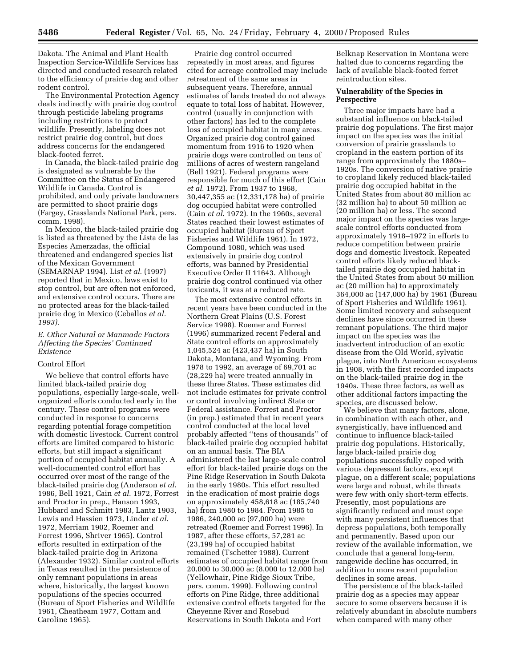Dakota. The Animal and Plant Health Inspection Service-Wildlife Services has directed and conducted research related to the efficiency of prairie dog and other rodent control.

The Environmental Protection Agency deals indirectly with prairie dog control through pesticide labeling programs including restrictions to protect wildlife. Presently, labeling does not restrict prairie dog control, but does address concerns for the endangered black-footed ferret.

In Canada, the black-tailed prairie dog is designated as vulnerable by the Committee on the Status of Endangered Wildlife in Canada. Control is prohibited, and only private landowners are permitted to shoot prairie dogs (Fargey, Grasslands National Park, pers. comm. 1998).

In Mexico, the black-tailed prairie dog is listed as threatened by the Lista de las Especies Amerzadas, the official threatened and endangered species list of the Mexican Government (SEMARNAP 1994). List *et al*. (1997) reported that in Mexico, laws exist to stop control, but are often not enforced, and extensive control occurs. There are no protected areas for the black-tailed prairie dog in Mexico (Ceballos *et al. 1993).*

### *E. Other Natural or Manmade Factors Affecting the Species' Continued Existence*

### Control Effort

We believe that control efforts have limited black-tailed prairie dog populations, especially large-scale, wellorganized efforts conducted early in the century. These control programs were conducted in response to concerns regarding potential forage competition with domestic livestock. Current control efforts are limited compared to historic efforts, but still impact a significant portion of occupied habitat annually. A well-documented control effort has occurred over most of the range of the black-tailed prairie dog (Anderson *et al*. 1986, Bell 1921, Cain *et al*. 1972, Forrest and Proctor in prep., Hanson 1993, Hubbard and Schmitt 1983, Lantz 1903, Lewis and Hassien 1973, Linder *et al.* 1972, Merriam 1902, Roemer and Forrest 1996, Shriver 1965). Control efforts resulted in extirpation of the black-tailed prairie dog in Arizona (Alexander 1932). Similar control efforts in Texas resulted in the persistence of only remnant populations in areas where, historically, the largest known populations of the species occurred (Bureau of Sport Fisheries and Wildlife 1961, Cheatheam 1977, Cottam and Caroline 1965).

Prairie dog control occurred repeatedly in most areas, and figures cited for acreage controlled may include retreatment of the same areas in subsequent years. Therefore, annual estimates of lands treated do not always equate to total loss of habitat. However, control (usually in conjunction with other factors) has led to the complete loss of occupied habitat in many areas. Organized prairie dog control gained momentum from 1916 to 1920 when prairie dogs were controlled on tens of millions of acres of western rangeland (Bell 1921). Federal programs were responsible for much of this effort (Cain *et al*. 1972). From 1937 to 1968, 30,447,355 ac (12,331,178 ha) of prairie dog occupied habitat were controlled (Cain *et al*. 1972). In the 1960s, several States reached their lowest estimates of occupied habitat (Bureau of Sport Fisheries and Wildlife 1961). In 1972, Compound 1080, which was used extensively in prairie dog control efforts, was banned by Presidential Executive Order II 11643. Although prairie dog control continued via other toxicants, it was at a reduced rate.

The most extensive control efforts in recent years have been conducted in the Northern Great Plains (U.S. Forest Service 1998). Roemer and Forrest (1996) summarized recent Federal and State control efforts on approximately 1,045,524 ac (423,437 ha) in South Dakota, Montana, and Wyoming. From 1978 to 1992, an average of 69,701 ac (28,229 ha) were treated annually in these three States. These estimates did not include estimates for private control or control involving indirect State or Federal assistance. Forrest and Proctor (in prep.) estimated that in recent years control conducted at the local level probably affected ''tens of thousands'' of black-tailed prairie dog occupied habitat on an annual basis. The BIA administered the last large-scale control effort for black-tailed prairie dogs on the Pine Ridge Reservation in South Dakota in the early 1980s. This effort resulted in the eradication of most prairie dogs on approximately 458,618 ac (185,740 ha) from 1980 to 1984. From 1985 to 1986, 240,000 ac (97,000 ha) were retreated (Roemer and Forrest 1996). In 1987, after these efforts, 57,281 ac (23,199 ha) of occupied habitat remained (Tschetter 1988). Current estimates of occupied habitat range from 20,000 to 30,000 ac (8,000 to 12,000 ha) (Yellowhair, Pine Ridge Sioux Tribe, pers. comm. 1999). Following control efforts on Pine Ridge, three additional extensive control efforts targeted for the Cheyenne River and Rosebud Reservations in South Dakota and Fort

Belknap Reservation in Montana were halted due to concerns regarding the lack of available black-footed ferret reintroduction sites.

# **Vulnerability of the Species in Perspective**

Three major impacts have had a substantial influence on black-tailed prairie dog populations. The first major impact on the species was the initial conversion of prairie grasslands to cropland in the eastern portion of its range from approximately the 1880s– 1920s. The conversion of native prairie to cropland likely reduced black-tailed prairie dog occupied habitat in the United States from about 80 million ac (32 million ha) to about 50 million ac (20 million ha) or less. The second major impact on the species was largescale control efforts conducted from approximately 1918–1972 in efforts to reduce competition between prairie dogs and domestic livestock. Repeated control efforts likely reduced blacktailed prairie dog occupied habitat in the United States from about 50 million ac (20 million ha) to approximately 364,000 ac (147,000 ha) by 1961 (Bureau of Sport Fisheries and Wildlife 1961). Some limited recovery and subsequent declines have since occurred in these remnant populations. The third major impact on the species was the inadvertent introduction of an exotic disease from the Old World, sylvatic plague, into North American ecosystems in 1908, with the first recorded impacts on the black-tailed prairie dog in the 1940s. These three factors, as well as other additional factors impacting the species, are discussed below.

We believe that many factors, alone, in combination with each other, and synergistically, have influenced and continue to influence black-tailed prairie dog populations. Historically, large black-tailed prairie dog populations successfully coped with various depressant factors, except plague, on a different scale; populations were large and robust, while threats were few with only short-term effects. Presently, most populations are significantly reduced and must cope with many persistent influences that depress populations, both temporally and permanently. Based upon our review of the available information, we conclude that a general long-term, rangewide decline has occurred, in addition to more recent population declines in some areas.

The persistence of the black-tailed prairie dog as a species may appear secure to some observers because it is relatively abundant in absolute numbers when compared with many other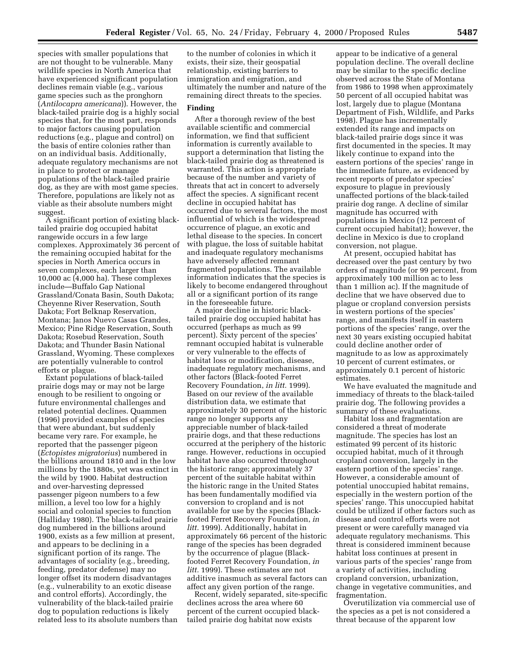species with smaller populations that are not thought to be vulnerable. Many wildlife species in North America that have experienced significant population declines remain viable (e.g., various game species such as the pronghorn (*Antilocapra americana*)). However, the black-tailed prairie dog is a highly social species that, for the most part, responds to major factors causing population reductions (e.g., plague and control) on the basis of entire colonies rather than on an individual basis. Additionally, adequate regulatory mechanisms are not in place to protect or manage populations of the black-tailed prairie dog, as they are with most game species. Therefore, populations are likely not as viable as their absolute numbers might suggest.

A significant portion of existing blacktailed prairie dog occupied habitat rangewide occurs in a few large complexes. Approximately 36 percent of the remaining occupied habitat for the species in North America occurs in seven complexes, each larger than 10,000 ac (4,000 ha). These complexes include—Buffalo Gap National Grassland/Conata Basin, South Dakota; Cheyenne River Reservation, South Dakota; Fort Belknap Reservation, Montana; Janos Nuevo Casas Grandes, Mexico; Pine Ridge Reservation, South Dakota; Rosebud Reservation, South Dakota; and Thunder Basin National Grassland, Wyoming. These complexes are potentially vulnerable to control efforts or plague.

Extant populations of black-tailed prairie dogs may or may not be large enough to be resilient to ongoing or future environmental challenges and related potential declines. Quammen (1996) provided examples of species that were abundant, but suddenly became very rare. For example, he reported that the passenger pigeon (*Ectopistes migratorius*) numbered in the billions around 1810 and in the low millions by the 1880s, yet was extinct in the wild by 1900. Habitat destruction and over-harvesting depressed passenger pigeon numbers to a few million, a level too low for a highly social and colonial species to function (Halliday 1980). The black-tailed prairie dog numbered in the billions around 1900, exists as a few million at present, and appears to be declining in a significant portion of its range. The advantages of sociality (e.g., breeding, feeding, predator defense) may no longer offset its modern disadvantages (e.g., vulnerability to an exotic disease and control efforts). Accordingly, the vulnerability of the black-tailed prairie dog to population reductions is likely related less to its absolute numbers than

to the number of colonies in which it exists, their size, their geospatial relationship, existing barriers to immigration and emigration, and ultimately the number and nature of the remaining direct threats to the species.

### **Finding**

After a thorough review of the best available scientific and commercial information, we find that sufficient information is currently available to support a determination that listing the black-tailed prairie dog as threatened is warranted. This action is appropriate because of the number and variety of threats that act in concert to adversely affect the species. A significant recent decline in occupied habitat has occurred due to several factors, the most influential of which is the widespread occurrence of plague, an exotic and lethal disease to the species. In concert with plague, the loss of suitable habitat and inadequate regulatory mechanisms have adversely affected remnant fragmented populations. The available information indicates that the species is likely to become endangered throughout all or a significant portion of its range in the foreseeable future.

A major decline in historic blacktailed prairie dog occupied habitat has occurred (perhaps as much as 99 percent). Sixty percent of the species' remnant occupied habitat is vulnerable or very vulnerable to the effects of habitat loss or modification, disease, inadequate regulatory mechanisms, and other factors (Black-footed Ferret Recovery Foundation, *in litt.* 1999). Based on our review of the available distribution data, we estimate that approximately 30 percent of the historic range no longer supports any appreciable number of black-tailed prairie dogs, and that these reductions occurred at the periphery of the historic range. However, reductions in occupied habitat have also occurred throughout the historic range; approximately 37 percent of the suitable habitat within the historic range in the United States has been fundamentally modified via conversion to cropland and is not available for use by the species (Blackfooted Ferret Recovery Foundation, *in litt.* 1999). Additionally, habitat in approximately 66 percent of the historic range of the species has been degraded by the occurrence of plague (Blackfooted Ferret Recovery Foundation, *in litt.* 1999). These estimates are not additive inasmuch as several factors can affect any given portion of the range.

Recent, widely separated, site-specific declines across the area where 60 percent of the current occupied blacktailed prairie dog habitat now exists

appear to be indicative of a general population decline. The overall decline may be similar to the specific decline observed across the State of Montana from 1986 to 1998 when approximately 50 percent of all occupied habitat was lost, largely due to plague (Montana Department of Fish, Wildlife, and Parks 1998). Plague has incrementally extended its range and impacts on black-tailed prairie dogs since it was first documented in the species. It may likely continue to expand into the eastern portions of the species' range in the immediate future, as evidenced by recent reports of predator species' exposure to plague in previously unaffected portions of the black-tailed prairie dog range. A decline of similar magnitude has occurred with populations in Mexico (12 percent of current occupied habitat); however, the decline in Mexico is due to cropland conversion, not plague.

At present, occupied habitat has decreased over the past century by two orders of magnitude (or 99 percent, from approximately 100 million ac to less than 1 million ac). If the magnitude of decline that we have observed due to plague or cropland conversion persists in western portions of the species' range, and manifests itself in eastern portions of the species' range, over the next 30 years existing occupied habitat could decline another order of magnitude to as low as approximately 10 percent of current estimates, or approximately 0.1 percent of historic estimates.

We have evaluated the magnitude and immediacy of threats to the black-tailed prairie dog. The following provides a summary of these evaluations.

Habitat loss and fragmentation are considered a threat of moderate magnitude. The species has lost an estimated 99 percent of its historic occupied habitat, much of it through cropland conversion, largely in the eastern portion of the species' range. However, a considerable amount of potential unoccupied habitat remains, especially in the western portion of the species' range. This unoccupied habitat could be utilized if other factors such as disease and control efforts were not present or were carefully managed via adequate regulatory mechanisms. This threat is considered imminent because habitat loss continues at present in various parts of the species' range from a variety of activities, including cropland conversion, urbanization, change in vegetative communities, and fragmentation.

Overutilization via commercial use of the species as a pet is not considered a threat because of the apparent low